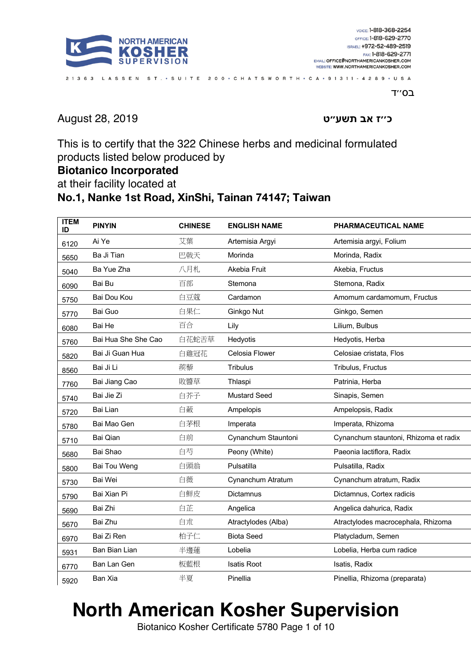

ב0"T

**ז׳׳כ בא ״עשת ט** 2019 28, August

This is to certify that the 322 Chinese herbs and medicinal formulated products listed below produced by

21363 LASSEN ST. • SUITE 200 • CHATSWORTH • CA • 91311 • 4289 • USA

#### **Biotanico Incorporated**

at their facility located at

#### **No.1, Nanke 1st Road, XinShi, Tainan 74147; Taiwan**

| <b>ITEM</b><br>ID | <b>PINYIN</b>       | <b>CHINESE</b> | <b>ENGLISH NAME</b> | PHARMACEUTICAL NAME                   |
|-------------------|---------------------|----------------|---------------------|---------------------------------------|
| 6120              | Ai Ye               | 艾葉             | Artemisia Argyi     | Artemisia argyi, Folium               |
| 5650              | Ba Ji Tian          | 巴戟天            | Morinda             | Morinda, Radix                        |
| 5040              | Ba Yue Zha          | 八月札            | Akebia Fruit        | Akebia, Fructus                       |
| 6090              | Bai Bu              | 百部             | Stemona             | Stemona, Radix                        |
| 5750              | Bai Dou Kou         | 白豆蔻            | Cardamon            | Amomum cardamomum, Fructus            |
| 5770              | Bai Guo             | 白果仁            | Ginkgo Nut          | Ginkgo, Semen                         |
| 6080              | Bai He              | 百合             | Lily                | Lilium, Bulbus                        |
| 5760              | Bai Hua She She Cao | 白花蛇舌草          | Hedyotis            | Hedyotis, Herba                       |
| 5820              | Bai Ji Guan Hua     | 白雞冠花           | Celosia Flower      | Celosiae cristata, Flos               |
| 8560              | Bai Ji Li           | 蒺藜             | <b>Tribulus</b>     | Tribulus, Fructus                     |
| 7760              | Bai Jiang Cao       | 敗醬草            | Thlaspi             | Patrinia, Herba                       |
| 5740              | Bai Jie Zi          | 白芥子            | <b>Mustard Seed</b> | Sinapis, Semen                        |
| 5720              | Bai Lian            | 白蘞             | Ampelopis           | Ampelopsis, Radix                     |
| 5780              | Bai Mao Gen         | 白茅根            | Imperata            | Imperata, Rhizoma                     |
| 5710              | Bai Qian            | 白前             | Cynanchum Stauntoni | Cynanchum stauntoni, Rhizoma et radix |
| 5680              | Bai Shao            | 白芍             | Peony (White)       | Paeonia lactiflora, Radix             |
| 5800              | Bai Tou Weng        | 白頭翁            | Pulsatilla          | Pulsatilla, Radix                     |
| 5730              | Bai Wei             | 白薇             | Cynanchum Atratum   | Cynanchum atratum, Radix              |
| 5790              | Bai Xian Pi         | 白鮮皮            | <b>Dictamnus</b>    | Dictamnus, Cortex radicis             |
| 5690              | Bai Zhi             | 白芷             | Angelica            | Angelica dahurica, Radix              |
| 5670              | Bai Zhu             | 白朮             | Atractylodes (Alba) | Atractylodes macrocephala, Rhizoma    |
| 6970              | Bai Zi Ren          | 柏子仁            | <b>Biota Seed</b>   | Platycladum, Semen                    |
| 5931              | Ban Bian Lian       | 半邊蓮            | Lobelia             | Lobelia, Herba cum radice             |
| 6770              | Ban Lan Gen         | 板藍根            | <b>Isatis Root</b>  | Isatis, Radix                         |
| 5920              | Ban Xia             | 半夏             | Pinellia            | Pinellia, Rhizoma (preparata)         |

# **North American Kosher Supervision**

Biotanico Kosher Certificate 5780 Page 1 of 10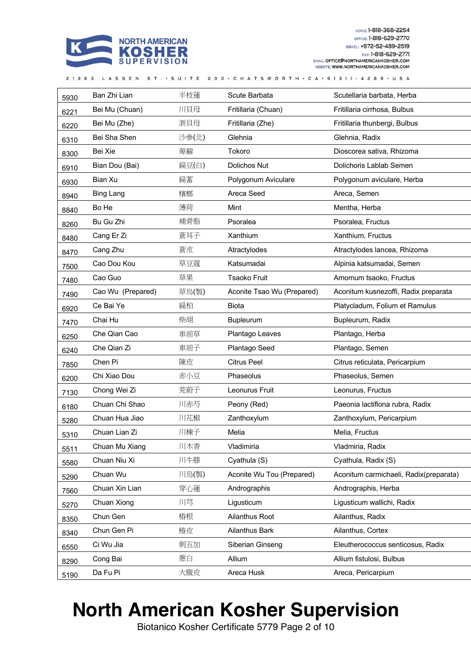

|      | 21363 LASSEN ST. · SUITE 200 · CHATSWORTH · CA · 91311 - 4289 · USA |       |                            |                                        |  |
|------|---------------------------------------------------------------------|-------|----------------------------|----------------------------------------|--|
| 5930 | Ban Zhi Lian                                                        | 半枝蓮   | Scute Barbata              | Scutellaria barbata, Herba             |  |
| 6221 | Bei Mu (Chuan)                                                      | 川貝母   | Fritillaria (Chuan)        | Fritillaria cirrhosa, Bulbus           |  |
| 6220 | Bei Mu (Zhe)                                                        | 浙貝母   | Fritillaria (Zhe)          | Fritillaria thunbergi, Bulbus          |  |
| 6310 | Bei Sha Shen                                                        | 沙参(北) | Glehnia                    | Glehnia, Radix                         |  |
| 8300 | Bei Xie                                                             | 萆薢    | Tokoro                     | Dioscorea sativa, Rhizoma              |  |
| 6910 | Bian Dou (Bai)                                                      | 扁豆(白) | Dolichos Nut               | Dolichoris Lablab Semen                |  |
| 6930 | Bian Xu                                                             | 扁蓄    | Polygonum Aviculare        | Polygonum aviculare, Herba             |  |
| 8940 | <b>Bing Lang</b>                                                    | 檳榔    | Areca Seed                 | Areca, Semen                           |  |
| 8840 | Bo He                                                               | 薄荷    | Mint                       | Mentha, Herba                          |  |
| 8260 | Bu Gu Zhi                                                           | 補骨脂   | Psoralea                   | Psoralea, Fructus                      |  |
| 8480 | Cang Er Zi                                                          | 蒼耳子   | Xanthium                   | Xanthium, Fructus                      |  |
| 8470 | Cang Zhu                                                            | 蒼朮    | Atractylodes               | Atractylodes lancea, Rhizoma           |  |
| 7500 | Cao Dou Kou                                                         | 草豆蔻   | Katsumadai                 | Alpinia katsumadai, Semen              |  |
| 7480 | Cao Guo                                                             | 草果    | <b>Tsaoko Fruit</b>        | Amomum tsaoko, Fructus                 |  |
| 7490 | Cao Wu (Prepared)                                                   | 草烏(製) | Aconite Tsao Wu (Prepared) | Aconitum kusnezoffi, Radix preparata   |  |
| 6920 | Ce Bai Ye                                                           | 扁柏    | <b>Biota</b>               | Platycladum, Folium et Ramulus         |  |
| 7470 | Chai Hu                                                             | 柴胡    | Bupleurum                  | Bupleurum, Radix                       |  |
| 6250 | Che Qian Cao                                                        | 車前草   | Plantago Leaves            | Plantago, Herba                        |  |
| 6240 | Che Qian Zi                                                         | 車前子   | Plantago Seed              | Plantago, Semen                        |  |
| 7850 | Chen Pi                                                             | 陳皮    | <b>Citrus Peel</b>         | Citrus reticulata, Pericarpium         |  |
| 6200 | Chi Xiao Dou                                                        | 赤小豆   | Phaseolus                  | Phaseolus, Semen                       |  |
| 7130 | Chong Wei Zi                                                        | 茺蔚子   | Leonurus Fruit             | Leonurus, Fructus                      |  |
| 6180 | Chuan Chi Shao                                                      | 川赤芍   | Peony (Red)                | Paeonia lactiflona rubra, Radix        |  |
| 5280 | Chuan Hua Jiao                                                      | 川花椒   | Zanthoxylum                | Zanthoxylum, Pericarpium               |  |
| 5310 | Chuan Lian Zi                                                       | 川棟子   | Melia                      | Melia, Fructus                         |  |
| 5511 | Chuan Mu Xiang                                                      | 川木香   | Vladimiria                 | Vladmiria, Radix                       |  |
| 5580 | Chuan Niu Xi                                                        | 川牛膝   | Cyathula (S)               | Cyathula, Radix (S)                    |  |
| 5290 | Chuan Wu                                                            | 川烏(製) | Aconite Wu Tou (Prepared)  | Aconitum carmichaeli, Radix(preparata) |  |
| 7560 | Chuan Xin Lian                                                      | 穿心蓮   | Andrographis               | Andrographis, Herba                    |  |
| 5270 | Chuan Xiong                                                         | 川芎    | Ligusticum                 | Ligusticum wallichi, Radix             |  |
| 8350 | Chun Gen                                                            | 樁根    | Ailanthus Root             | Ailanthus, Radix                       |  |
| 8340 | Chun Gen Pi                                                         | 椿皮    | Ailanthus Bark             | Ailanthus, Cortex                      |  |
| 6550 | Ci Wu Jia                                                           | 刺五加   | Siberian Ginseng           | Eleutherococcus senticosus, Radix      |  |
| 8290 | Cong Bai                                                            | 蔥白    | Allium                     | Allium fistulosi, Bulbus               |  |
| 5190 | Da Fu Pi                                                            | 大腹皮   | Areca Husk                 | Areca, Pericarpium                     |  |

## **North American Kosher Supervision**

Biotanico Kosher Certificate 5779 Page 2 of 10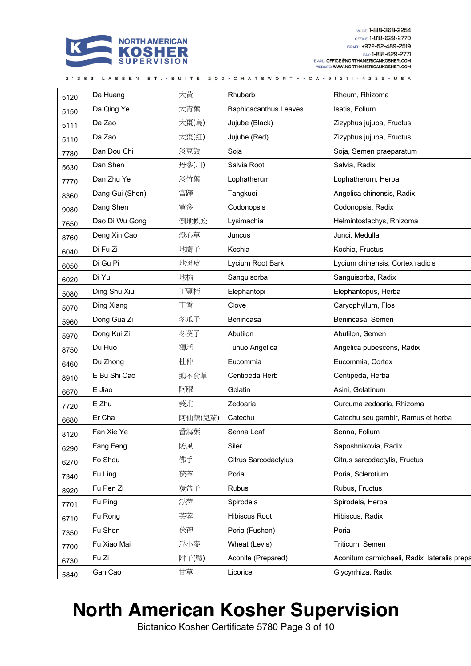

| 21363 LASSEN ST. • SUITE 200 • CHATSWORTH • CA • 91311 - 4289 • USA |  |  |  |  |  |
|---------------------------------------------------------------------|--|--|--|--|--|
|---------------------------------------------------------------------|--|--|--|--|--|

| 5120 | Da Huang        | 大黃      | Rhubarb                      | Rheum, Rhizoma                              |
|------|-----------------|---------|------------------------------|---------------------------------------------|
| 5150 | Da Qing Ye      | 大青葉     | <b>Baphicacanthus Leaves</b> | Isatis, Folium                              |
| 5111 | Da Zao          | 大棗(烏)   | Jujube (Black)               | Zizyphus jujuba, Fructus                    |
| 5110 | Da Zao          | 大棗(紅)   | Jujube (Red)                 | Zizyphus jujuba, Fructus                    |
| 7780 | Dan Dou Chi     | 淡豆鼓     | Soja                         | Soja, Semen praeparatum                     |
| 5630 | Dan Shen        | 丹参(川)   | Salvia Root                  | Salvia, Radix                               |
| 7770 | Dan Zhu Ye      | 淡竹葉     | Lophatherum                  | Lophatherum, Herba                          |
| 8360 | Dang Gui (Shen) | 當歸      | Tangkuei                     | Angelica chinensis, Radix                   |
| 9080 | Dang Shen       | 黨參      | Codonopsis                   | Codonopsis, Radix                           |
| 7650 | Dao Di Wu Gong  | 倒地蜈蚣    | Lysimachia                   | Helmintostachys, Rhizoma                    |
| 8760 | Deng Xin Cao    | 燈心草     | Juncus                       | Junci, Medulla                              |
| 6040 | Di Fu Zi        | 地膚子     | Kochia                       | Kochia, Fructus                             |
| 6050 | Di Gu Pi        | 地骨皮     | Lycium Root Bark             | Lycium chinensis, Cortex radicis            |
| 6020 | Di Yu           | 地榆      | Sanguisorba                  | Sanguisorba, Radix                          |
| 5080 | Ding Shu Xiu    | 丁豎朽     | Elephantopi                  | Elephantopus, Herba                         |
| 5070 | Ding Xiang      | 丁香      | Clove                        | Caryophyllum, Flos                          |
| 5960 | Dong Gua Zi     | 冬瓜子     | Benincasa                    | Benincasa, Semen                            |
| 5970 | Dong Kui Zi     | 冬葵子     | Abutilon                     | Abutilon, Semen                             |
| 8750 | Du Huo          | 獨活      | Tuhuo Angelica               | Angelica pubescens, Radix                   |
| 6460 | Du Zhong        | 杜仲      | Eucommia                     | Eucommia, Cortex                            |
| 8910 | E Bu Shi Cao    | 鵝不食草    | Centipeda Herb               | Centipeda, Herba                            |
| 6670 | E Jiao          | 阿膠      | Gelatin                      | Asini, Gelatinum                            |
| 7720 | E Zhu           | 莪朮      | Zedoaria                     | Curcuma zedoaria, Rhizoma                   |
| 6680 | Er Cha          | 阿仙藥(兒茶) | Catechu                      | Catechu seu gambir, Ramus et herba          |
| 8120 | Fan Xie Ye      | 番瀉葉     | Senna Leaf                   | Senna, Folium                               |
| 6290 | Fang Feng       | 防風      | Siler                        | Saposhnikovia, Radix                        |
| 6270 | Fo Shou         | 佛手      | <b>Citrus Sarcodactylus</b>  | Citrus sarcodactylis, Fructus               |
| 7340 | Fu Ling         | 茯苓      | Poria                        | Poria, Sclerotium                           |
| 8920 | Fu Pen Zi       | 覆盆子     | <b>Rubus</b>                 | Rubus, Fructus                              |
| 7701 | Fu Ping         | 浮萍      | Spirodela                    | Spirodela, Herba                            |
| 6710 | Fu Rong         | 芙蓉      | Hibiscus Root                | Hibiscus, Radix                             |
| 7350 | Fu Shen         | 茯神      | Poria (Fushen)               | Poria                                       |
| 7700 | Fu Xiao Mai     | 浮小麥     | Wheat (Levis)                | Triticum, Semen                             |
| 6730 | Fu Zi           | 附子(製)   | Aconite (Prepared)           | Aconitum carmichaeli, Radix lateralis prepa |
| 5840 | Gan Cao         | 甘草      | Licorice                     | Glycyrrhiza, Radix                          |
|      |                 |         |                              |                                             |

#### **North American Kosher Supervision**

Biotanico Kosher Certificate 5780 Page 3 of 10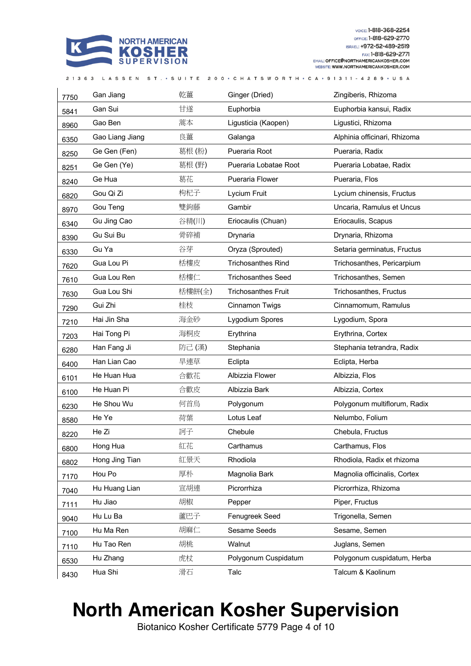

| 7750 | Gan Jiang       | 乾薑     | Ginger (Dried)             | Zingiberis, Rhizoma          |
|------|-----------------|--------|----------------------------|------------------------------|
| 5841 | Gan Sui         | 甘遂     | Euphorbia                  | Euphorbia kansui, Radix      |
| 8960 | Gao Ben         | 蒿本     | Ligusticia (Kaopen)        | Ligustici, Rhizoma           |
| 6350 | Gao Liang Jiang | 良薑     | Galanga                    | Alphinia officinari, Rhizoma |
| 8250 | Ge Gen (Fen)    | 葛根(粉)  | Pueraria Root              | Pueraria, Radix              |
| 8251 | Ge Gen (Ye)     | 葛根(野)  | Pueraria Lobatae Root      | Pueraria Lobatae, Radix      |
| 8240 | Ge Hua          | 葛花     | Pueraria Flower            | Pueraria, Flos               |
| 6820 | Gou Qi Zi       | 枸杞子    | Lycium Fruit               | Lycium chinensis, Fructus    |
| 8970 | Gou Teng        | 雙鉤藤    | Gambir                     | Uncaria, Ramulus et Uncus    |
| 6340 | Gu Jing Cao     | 谷精(川)  | Eriocaulis (Chuan)         | Eriocaulis, Scapus           |
| 8390 | Gu Sui Bu       | 骨碎補    | Drynaria                   | Drynaria, Rhizoma            |
| 6330 | Gu Ya           | 谷芽     | Oryza (Sprouted)           | Setaria germinatus, Fructus  |
| 7620 | Gua Lou Pi      | 栝樓皮    | <b>Trichosanthes Rind</b>  | Trichosanthes, Pericarpium   |
| 7610 | Gua Lou Ren     | 栝樓仁    | <b>Trichosanthes Seed</b>  | Trichosanthes, Semen         |
| 7630 | Gua Lou Shi     | 栝樓餅(全) | <b>Trichosanthes Fruit</b> | Trichosanthes, Fructus       |
| 7290 | Gui Zhi         | 桂枝     | Cinnamon Twigs             | Cinnamomum, Ramulus          |
| 7210 | Hai Jin Sha     | 海金砂    | Lygodium Spores            | Lygodium, Spora              |
| 7203 | Hai Tong Pi     | 海桐皮    | Erythrina                  | Erythrina, Cortex            |
| 6280 | Han Fang Ji     | 防己 (漢) | Stephania                  | Stephania tetrandra, Radix   |
| 6400 | Han Lian Cao    | 旱連草    | Eclipta                    | Eclipta, Herba               |
| 6101 | He Huan Hua     | 合歡花    | Albizzia Flower            | Albizzia, Flos               |
| 6100 | He Huan Pi      | 合歡皮    | Albizzia Bark              | Albizzia, Cortex             |
| 6230 | He Shou Wu      | 何首烏    | Polygonum                  | Polygonum multiflorum, Radix |
| 8580 | He Ye           | 荷葉     | Lotus Leaf                 | Nelumbo, Folium              |
| 8220 | He Zi           | 訶子     | Chebule                    | Chebula, Fructus             |
| 6800 | Hong Hua        | 紅花     | Carthamus                  | Carthamus, Flos              |
| 6802 | Hong Jing Tian  | 紅景天    | Rhodiola                   | Rhodiola, Radix et rhizoma   |
| 7170 | Hou Po          | 厚朴     | Magnolia Bark              | Magnolia officinalis, Cortex |
| 7040 | Hu Huang Lian   | 宣胡連    | Picrorrhiza                | Picrorrhiza, Rhizoma         |
| 7111 | Hu Jiao         | 胡椒     | Pepper                     | Piper, Fructus               |
| 9040 | Hu Lu Ba        | 蘆巴子    | Fenugreek Seed             | Trigonella, Semen            |
| 7100 | Hu Ma Ren       | 胡麻仁    | Sesame Seeds               | Sesame, Semen                |
| 7110 | Hu Tao Ren      | 胡桃     | Walnut                     | Juglans, Semen               |
| 6530 | Hu Zhang        | 虎杖     | Polygonum Cuspidatum       | Polygonum cuspidatum, Herba  |
| 8430 | Hua Shi         | 滑石     | Talc                       | Talcum & Kaolinum            |

21363 LASSEN ST. • SUITE 200 • CHATSWORTH • CA • 91311 - 4289 • USA

## **North American Kosher Supervision**

Biotanico Kosher Certificate 5779 Page 4 of 10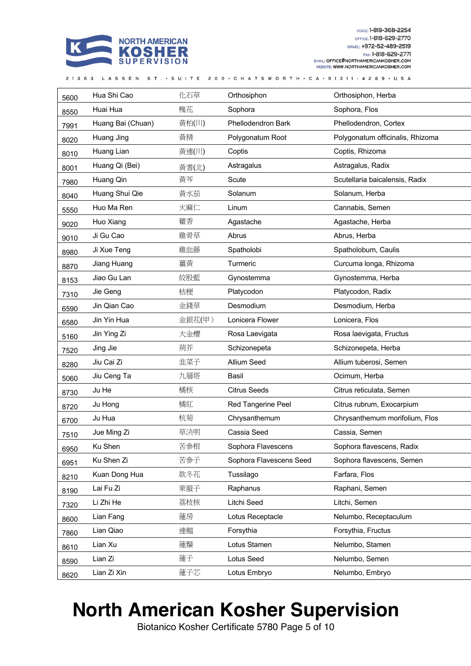

|      | 21363 LASSEN      |        | ST. • SUITE 200 • CHATSWORTH • CA • 91311 - 4289 • USA |                                  |
|------|-------------------|--------|--------------------------------------------------------|----------------------------------|
| 5600 | Hua Shi Cao       | 化石草    | Orthosiphon                                            | Orthosiphon, Herba               |
| 8550 | Huai Hua          | 槐花     | Sophora                                                | Sophora, Flos                    |
| 7991 | Huang Bai (Chuan) | 黃柏(川)  | Phellodendron Bark                                     | Phellodendron, Cortex            |
| 8020 | Huang Jing        | 黃精     | Polygonatum Root                                       | Polygonatum officinalis, Rhizoma |
| 8010 | Huang Lian        | 黃連(川)  | Coptis                                                 | Coptis, Rhizoma                  |
| 8001 | Huang Qi (Bei)    | 黃耆(北)  | Astragalus                                             | Astragalus, Radix                |
| 7980 | Huang Qin         | 黃芩     | Scute                                                  | Scutellaria baicalensis, Radix   |
| 8040 | Huang Shui Qie    | 黃水茄    | Solanum                                                | Solanum, Herba                   |
| 5550 | Huo Ma Ren        | 火麻仁    | Linum                                                  | Cannabis, Semen                  |
| 9020 | Huo Xiang         | 藿香     | Agastache                                              | Agastache, Herba                 |
| 9010 | Ji Gu Cao         | 雞骨草    | Abrus                                                  | Abrus, Herba                     |
| 8980 | Ji Xue Teng       | 雞血藤    | Spatholobi                                             | Spatholobum, Caulis              |
| 8870 | Jiang Huang       | 薑黃     | Turmeric                                               | Curcuma longa, Rhizoma           |
| 8153 | Jiao Gu Lan       | 絞股藍    | Gynostemma                                             | Gynostemma, Herba                |
| 7310 | Jie Geng          | 桔梗     | Platycodon                                             | Platycodon, Radix                |
| 6590 | Jin Qian Cao      | 金錢草    | Desmodium                                              | Desmodium, Herba                 |
| 6580 | Jin Yin Hua       | 金銀花(甲) | Lonicera Flower                                        | Lonicera, Flos                   |
| 5160 | Jin Ying Zi       | 大金櫻    | Rosa Laevigata                                         | Rosa laevigata, Fructus          |
| 7520 | Jing Jie          | 荊芥     | Schizonepeta                                           | Schizonepeta, Herba              |
| 8280 | Jiu Cai Zi        | 韭菜子    | Allium Seed                                            | Allium tuberosi, Semen           |
| 5060 | Jiu Ceng Ta       | 九層塔    | Basil                                                  | Ocimum, Herba                    |
| 8730 | Ju He             | 橘核     | <b>Citrus Seeds</b>                                    | Citrus reticulata, Semen         |
| 8720 | Ju Hong           | 橘紅     | Red Tangerine Peel                                     | Citrus rubrum, Exocarpium        |
| 6700 | Ju Hua            | 杭菊     | Chrysanthemum                                          | Chrysanthemum morifolium, Flos   |
| 7510 | Jue Ming Zi       | 草決明    | Cassia Seed                                            | Cassia, Semen                    |
| 6950 | Ku Shen           | 苦参根    | Sophora Flavescens                                     | Sophora flavescens, Radix        |
| 6951 | Ku Shen Zi        | 苦参子    | Sophora Flavescens Seed                                | Sophora flavescens, Semen        |
| 8210 | Kuan Dong Hua     | 款冬花    | Tussilago                                              | Farfara, Flos                    |
| 8190 | Lai Fu Zi         | 萊菔子    | Raphanus                                               | Raphani, Semen                   |
| 7320 | Li Zhi He         | 荔枝核    | Litchi Seed                                            | Litchi, Semen                    |
| 8600 | Lian Fang         | 蓮房     | Lotus Receptacle                                       | Nelumbo, Receptaculum            |
| 7860 | Lian Qiao         | 連翹     | Forsythia                                              | Forsythia, Fructus               |
| 8610 | Lian Xu           | 蓮鬚     | Lotus Stamen                                           | Nelumbo, Stamen                  |
| 8590 | Lian Zi           | 蓮子     | Lotus Seed                                             | Nelumbo, Semen                   |
| 8620 | Lian Zi Xin       | 蓮子芯    | Lotus Embryo                                           | Nelumbo, Embryo                  |

## **North American Kosher Supervision**

Biotanico Kosher Certificate 5780 Page 5 of 10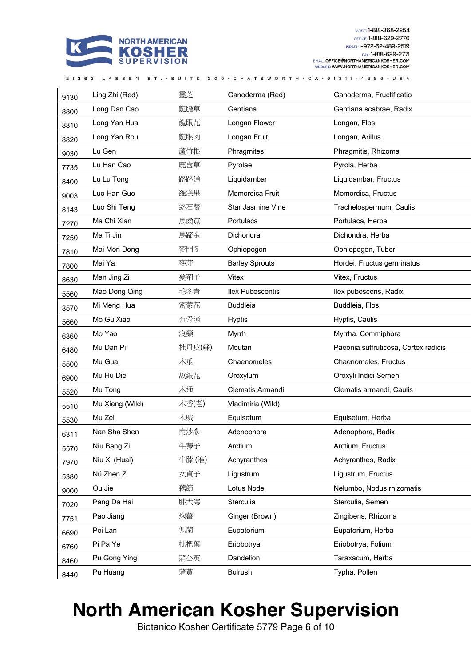

| 9130 | Ling Zhi (Red)  | 靈芝     | Ganoderma (Red)         | Ganoderma, Fructificatio             |
|------|-----------------|--------|-------------------------|--------------------------------------|
| 8800 | Long Dan Cao    | 龍膽草    | Gentiana                | Gentiana scabrae, Radix              |
| 8810 | Long Yan Hua    | 龍眼花    | Longan Flower           | Longan, Flos                         |
| 8820 | Long Yan Rou    | 龍眼肉    | Longan Fruit            | Longan, Arillus                      |
| 9030 | Lu Gen          | 蘆竹根    | Phragmites              | Phragmitis, Rhizoma                  |
| 7735 | Lu Han Cao      | 鹿含草    | Pyrolae                 | Pyrola, Herba                        |
| 8400 | Lu Lu Tong      | 路路通    | Liquidambar             | Liquidambar, Fructus                 |
| 9003 | Luo Han Guo     | 羅漢果    | Momordica Fruit         | Momordica, Fructus                   |
| 8143 | Luo Shi Teng    | 絡石藤    | Star Jasmine Vine       | Trachelospermum, Caulis              |
| 7270 | Ma Chi Xian     | 馬齒莧    | Portulaca               | Portulaca, Herba                     |
| 7250 | Ma Ti Jin       | 馬蹄金    | Dichondra               | Dichondra, Herba                     |
| 7810 | Mai Men Dong    | 麥門冬    | Ophiopogon              | Ophiopogon, Tuber                    |
| 7800 | Mai Ya          | 麥芽     | <b>Barley Sprouts</b>   | Hordei, Fructus germinatus           |
| 8630 | Man Jing Zi     | 蔓荊子    | Vitex                   | Vitex, Fructus                       |
| 5560 | Mao Dong Qing   | 毛冬青    | <b>Ilex Pubescentis</b> | Ilex pubescens, Radix                |
| 8570 | Mi Meng Hua     | 密蒙花    | <b>Buddleia</b>         | Buddleia, Flos                       |
| 5660 | Mo Gu Xiao      | 冇骨消    | <b>Hyptis</b>           | Hyptis, Caulis                       |
| 6360 | Mo Yao          | 沒藥     | Myrrh                   | Myrrha, Commiphora                   |
| 6480 | Mu Dan Pi       | 牡丹皮(蘇) | Moutan                  | Paeonia suffruticosa, Cortex radicis |
| 5500 | Mu Gua          | 木瓜     | Chaenomeles             | Chaenomeles, Fructus                 |
| 6900 | Mu Hu Die       | 故紙花    | Oroxylum                | Oroxyli Indici Semen                 |
| 5520 | Mu Tong         | 木通     | Clematis Armandi        | Clematis armandi, Caulis             |
| 5510 | Mu Xiang (Wild) | 木香(老)  | Vladimiria (Wild)       |                                      |
| 5530 | Mu Zei          | 木賊     | Equisetum               | Equisetum, Herba                     |
| 6311 | Nan Sha Shen    | 南沙參    | Adenophora              | Adenophora, Radix                    |
| 5570 | Niu Bang Zi     | 牛蒡子    | Arctium                 | Arctium, Fructus                     |
| 7970 | Niu Xi (Huai)   | 牛膝(淮)  | Achyranthes             | Achyranthes, Radix                   |
| 5380 | Nü Zhen Zi      | 女貞子    | Ligustrum               | Ligustrum, Fructus                   |
| 9000 | Ou Jie          | 藕節     | Lotus Node              | Nelumbo, Nodus rhizomatis            |
| 7020 | Pang Da Hai     | 胖大海    | Sterculia               | Sterculia, Semen                     |
| 7751 | Pao Jiang       | 炮薑     | Ginger (Brown)          | Zingiberis, Rhizoma                  |
| 6690 | Pei Lan         | 佩蘭     | Eupatorium              | Eupatorium, Herba                    |
| 6760 | Pi Pa Ye        | 枇杷葉    | Eriobotrya              | Eriobotrya, Folium                   |
| 8460 | Pu Gong Ying    | 蒲公英    | Dandelion               | Taraxacum, Herba                     |
| 8440 | Pu Huang        | 蒲黄     | <b>Bulrush</b>          | Typha, Pollen                        |

21363 LASSEN ST. • SUITE 200 • CHATSWORTH • CA • 91311 - 4289 • USA

## **North American Kosher Supervision**

Biotanico Kosher Certificate 5779 Page 6 of 10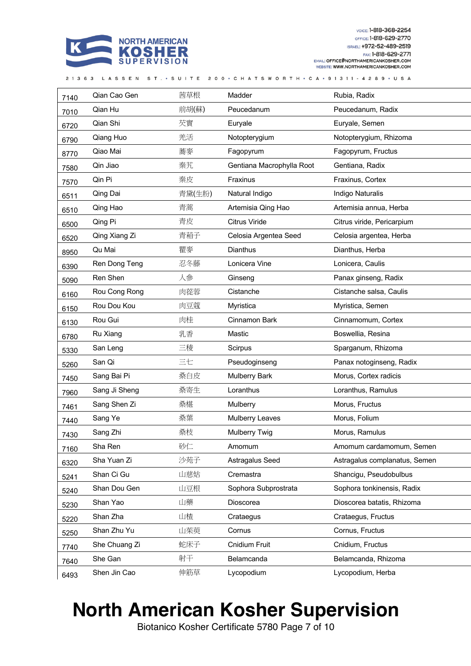

| 7140 | Qian Cao Gen  | 茜草根    | Madder                    | Rubia, Radix                  |
|------|---------------|--------|---------------------------|-------------------------------|
| 7010 | Qian Hu       | 前胡(蘇)  | Peucedanum                | Peucedanum, Radix             |
| 6720 | Qian Shi      | 芡實     | Euryale                   | Euryale, Semen                |
| 6790 | Qiang Huo     | 羌活     | Notopterygium             | Notopterygium, Rhizoma        |
| 8770 | Qiao Mai      | 蕎麥     | Fagopyrum                 | Fagopyrum, Fructus            |
| 7580 | Qin Jiao      | 秦艽     | Gentiana Macrophylla Root | Gentiana, Radix               |
| 7570 | Qin Pi        | 秦皮     | Fraxinus                  | Fraxinus, Cortex              |
| 6511 | Qing Dai      | 青黛(生粉) | Natural Indigo            | Indigo Naturalis              |
| 6510 | Qing Hao      | 青蒿     | Artemisia Qing Hao        | Artemisia annua, Herba        |
| 6500 | Qing Pi       | 青皮     | Citrus Viride             | Citrus viride, Pericarpium    |
| 6520 | Qing Xiang Zi | 青葙子    | Celosia Argentea Seed     | Celosia argentea, Herba       |
| 8950 | Qu Mai        | 瞿麥     | <b>Dianthus</b>           | Dianthus, Herba               |
| 6390 | Ren Dong Teng | 忍冬藤    | Lonicera Vine             | Lonicera, Caulis              |
| 5090 | Ren Shen      | 人参     | Ginseng                   | Panax ginseng, Radix          |
| 6160 | Rou Cong Rong | 肉蓯蓉    | Cistanche                 | Cistanche salsa, Caulis       |
| 6150 | Rou Dou Kou   | 肉豆蔻    | Myristica                 | Myristica, Semen              |
| 6130 | Rou Gui       | 肉桂     | Cinnamon Bark             | Cinnamomum, Cortex            |
| 6780 | Ru Xiang      | 乳香     | Mastic                    | Boswellia, Resina             |
| 5330 | San Leng      | 三稜     | Scirpus                   | Sparganum, Rhizoma            |
| 5260 | San Qi        | 三七     | Pseudoginseng             | Panax notoginseng, Radix      |
| 7450 | Sang Bai Pi   | 桑白皮    | <b>Mulberry Bark</b>      | Morus, Cortex radicis         |
| 7960 | Sang Ji Sheng | 桑寄生    | Loranthus                 | Loranthus, Ramulus            |
| 7461 | Sang Shen Zi  | 桑椹     | <b>Mulberry</b>           | Morus, Fructus                |
| 7440 | Sang Ye       | 桑葉     | <b>Mulberry Leaves</b>    | Morus, Folium                 |
| 7430 | Sang Zhi      | 桑枝     | Mulberry Twig             | Morus, Ramulus                |
| 7160 | Sha Ren       | 砂仁     | Amomum                    | Amomum cardamomum, Semen      |
| 6320 | Sha Yuan Zi   | 沙苑子    | Astragalus Seed           | Astragalus complanatus, Semen |
| 5241 | Shan Ci Gu    | 山慈姑    | Cremastra                 | Shancigu, Pseudobulbus        |
| 5240 | Shan Dou Gen  | 山豆根    | Sophora Subprostrata      | Sophora tonkinensis, Radix    |
| 5230 | Shan Yao      | 山藥     | Dioscorea                 | Dioscorea batatis, Rhizoma    |
| 5220 | Shan Zha      | 山楂     | Crataegus                 | Crataegus, Fructus            |
| 5250 | Shan Zhu Yu   | 山茱萸    | Cornus                    | Cornus, Fructus               |
| 7740 | She Chuang Zi | 蛇床子    | Cnidium Fruit             | Cnidium, Fructus              |
| 7640 | She Gan       | 射干     | Belamcanda                | Belamcanda, Rhizoma           |
| 6493 | Shen Jin Cao  | 伸筋草    | Lycopodium                | Lycopodium, Herba             |

## **North American Kosher Supervision**

Biotanico Kosher Certificate 5780 Page 7 of 10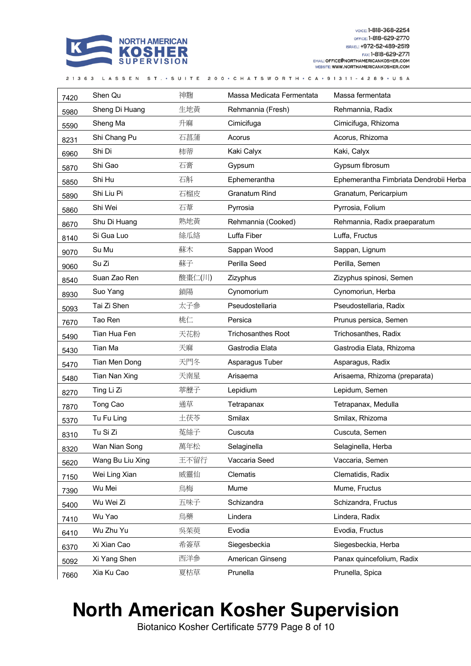

|  |  | 21363 LASSEN ST. • SUITE 200 • CHATSWORTH • CA • 91311 - 4289 • USA |
|--|--|---------------------------------------------------------------------|

| 7420 | Shen Qu          | 神麴     | Massa Medicata Fermentata | Massa fermentata                       |
|------|------------------|--------|---------------------------|----------------------------------------|
| 5980 | Sheng Di Huang   | 生地黄    | Rehmannia (Fresh)         | Rehmannia, Radix                       |
| 5590 | Sheng Ma         | 升麻     | Cimicifuga                | Cimicifuga, Rhizoma                    |
| 8231 | Shi Chang Pu     | 石菖蒲    | Acorus                    | Acorus, Rhizoma                        |
| 6960 | Shi Di           | 柿蒂     | Kaki Calyx                | Kaki, Calyx                            |
| 5870 | Shi Gao          | 石膏     | Gypsum                    | Gypsum fibrosum                        |
| 5850 | Shi Hu           | 石斛     | Ephemerantha              | Ephemerantha Fimbriata Dendrobii Herba |
| 5890 | Shi Liu Pi       | 石榴皮    | <b>Granatum Rind</b>      | Granatum, Pericarpium                  |
| 5860 | Shi Wei          | 石葦     | Pyrrosia                  | Pyrrosia, Folium                       |
| 8670 | Shu Di Huang     | 熟地黄    | Rehmannia (Cooked)        | Rehmannia, Radix praeparatum           |
| 8140 | Si Gua Luo       | 絲瓜絡    | Luffa Fiber               | Luffa, Fructus                         |
| 9070 | Su Mu            | 蘇木     | Sappan Wood               | Sappan, Lignum                         |
| 9060 | Su Zi            | 蘇子     | Perilla Seed              | Perilla, Semen                         |
| 8540 | Suan Zao Ren     | 酸棗仁(川) | Zizyphus                  | Zizyphus spinosi, Semen                |
| 8930 | Suo Yang         | 鎖陽     | Cynomorium                | Cynomoriun, Herba                      |
| 5093 | Tai Zi Shen      | 太子参    | Pseudostellaria           | Pseudostellaria, Radix                 |
| 7670 | Tao Ren          | 桃仁     | Persica                   | Prunus persica, Semen                  |
| 5490 | Tian Hua Fen     | 天花粉    | <b>Trichosanthes Root</b> | Trichosanthes, Radix                   |
| 5430 | Tian Ma          | 天麻     | Gastrodia Elata           | Gastrodia Elata, Rhizoma               |
| 5470 | Tian Men Dong    | 天門冬    | Asparagus Tuber           | Asparagus, Radix                       |
| 5480 | Tian Nan Xing    | 天南星    | Arisaema                  | Arisaema, Rhizoma (preparata)          |
| 8270 | Ting Li Zi       | 葶藶子    | Lepidium                  | Lepidum, Semen                         |
| 7870 | Tong Cao         | 通草     | Tetrapanax                | Tetrapanax, Medulla                    |
| 5370 | Tu Fu Ling       | 土茯苓    | Smilax                    | Smilax, Rhizoma                        |
| 8310 | Tu Si Zi         | 菟絲子    | Cuscuta                   | Cuscuta, Semen                         |
| 8320 | Wan Nian Song    | 萬年松    | Selaginella               | Selaginella, Herba                     |
| 5620 | Wang Bu Liu Xing | 王不留行   | Vaccaria Seed             | Vaccaria, Semen                        |
| 7150 | Wei Ling Xian    | 威靈仙    | Clematis                  | Clematidis, Radix                      |
| 7390 | Wu Mei           | 烏梅     | Mume                      | Mume, Fructus                          |
| 5400 | Wu Wei Zi        | 五味子    | Schizandra                | Schizandra, Fructus                    |
| 7410 | Wu Yao           | 烏藥     | Lindera                   | Lindera, Radix                         |
| 6410 | Wu Zhu Yu        | 吳茱萸    | Evodia                    | Evodia, Fructus                        |
| 6370 | Xi Xian Cao      | 希簽草    | Siegesbeckia              | Siegesbeckia, Herba                    |
| 5092 | Xi Yang Shen     | 西洋参    | American Ginseng          | Panax quincefolium, Radix              |
| 7660 | Xia Ku Cao       | 夏枯草    | Prunella                  | Prunella, Spica                        |

#### **North American Kosher Supervision**

Biotanico Kosher Certificate 5779 Page 8 of 10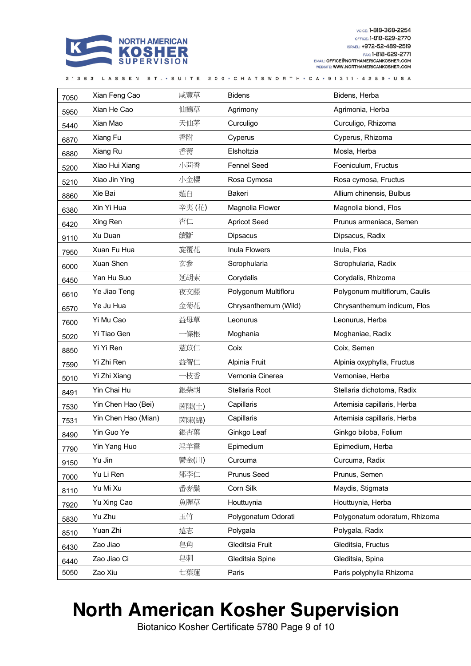

| 7050 | Xian Feng Cao       | 咸豐草   | <b>Bidens</b>        | Bidens, Herba                 |
|------|---------------------|-------|----------------------|-------------------------------|
| 5950 | Xian He Cao         | 仙鶴草   | Agrimony             | Agrimonia, Herba              |
| 5440 | Xian Mao            | 天仙茅   | Curculigo            | Curculigo, Rhizoma            |
| 6870 | Xiang Fu            | 香附    | Cyperus              | Cyperus, Rhizoma              |
| 6880 | Xiang Ru            | 香薷    | Elsholtzia           | Mosla, Herba                  |
| 5200 | Xiao Hui Xiang      | 小茴香   | <b>Fennel Seed</b>   | Foeniculum, Fructus           |
| 5210 | Xiao Jin Ying       | 小金櫻   | Rosa Cymosa          | Rosa cymosa, Fructus          |
| 8860 | Xie Bai             | 薤白    | Bakeri               | Allium chinensis, Bulbus      |
| 6380 | Xin Yi Hua          | 辛夷(花) | Magnolia Flower      | Magnolia biondi, Flos         |
| 6420 | Xing Ren            | 杏仁    | <b>Apricot Seed</b>  | Prunus armeniaca, Semen       |
| 9110 | Xu Duan             | 續斷    | <b>Dipsacus</b>      | Dipsacus, Radix               |
| 7950 | Xuan Fu Hua         | 旋覆花   | Inula Flowers        | Inula, Flos                   |
| 6000 | Xuan Shen           | 玄參    | Scrophularia         | Scrophularia, Radix           |
| 6450 | Yan Hu Suo          | 延胡索   | Corydalis            | Corydalis, Rhizoma            |
| 6610 | Ye Jiao Teng        | 夜交藤   | Polygonum Multifloru | Polygonum multiflorum, Caulis |
| 6570 | Ye Ju Hua           | 金菊花   | Chrysanthemum (Wild) | Chrysanthemum indicum, Flos   |
| 7600 | Yi Mu Cao           | 益母草   | Leonurus             | Leonurus, Herba               |
| 5020 | Yi Tiao Gen         | 一條根   | Moghania             | Moghaniae, Radix              |
| 8850 | Yi Yi Ren           | 薏苡仁   | Coix                 | Coix, Semen                   |
| 7590 | Yi Zhi Ren          | 益智仁   | Alpinia Fruit        | Alpinia oxyphylla, Fructus    |
| 5010 | Yi Zhi Xiang        | 一枝香   | Vernonia Cinerea     | Vernoniae, Herba              |
| 8491 | Yin Chai Hu         | 銀柴胡   | Stellaria Root       | Stellaria dichotoma, Radix    |
| 7530 | Yin Chen Hao (Bei)  | 茵陳(土) | Capillaris           | Artemisia capillaris, Herba   |
| 7531 | Yin Chen Hao (Mian) | 茵陳(綿) | Capillaris           | Artemisia capillaris, Herba   |
| 8490 | Yin Guo Ye          | 銀杏葉   | Ginkgo Leaf          | Ginkgo biloba, Folium         |
| 7790 | Yin Yang Huo        | 淫羊霍   | Epimedium            | Epimedium, Herba              |
| 9150 | Yu Jin              | 鬱金(川) | Curcuma              | Curcuma, Radix                |
| 7000 | Yu Li Ren           | 郁李仁   | <b>Prunus Seed</b>   | Prunus, Semen                 |
| 8110 | Yu Mi Xu            | 番麥鬚   | Corn Silk            | Maydis, Stigmata              |
| 7920 | Yu Xing Cao         | 魚腥草   | Houttuynia           | Houttuynia, Herba             |
| 5830 | Yu Zhu              | 玉竹    | Polygonatum Odorati  | Polygonatum odoratum, Rhizoma |
| 8510 | Yuan Zhi            | 遠志    | Polygala             | Polygala, Radix               |
| 6430 | Zao Jiao            | 皂角    | Gleditsia Fruit      | Gleditsia, Fructus            |
| 6440 | Zao Jiao Ci         | 皂刺    | Gleditsia Spine      | Gleditsia, Spina              |
| 5050 | Zao Xiu             | 七葉蓮   | Paris                | Paris polyphylla Rhizoma      |

21363 LASSEN ST. • SUITE 200 • CHATSWORTH • CA • 91311 • 4289 • USA

## **North American Kosher Supervision**

Biotanico Kosher Certificate 5780 Page 9 of 10